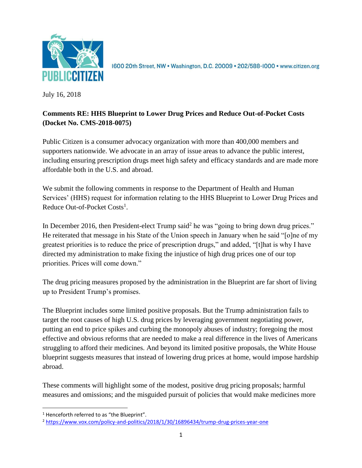

1600 20th Street, NW . Washington, D.C. 20009 . 202/588-1000 . www.citizen.org

July 16, 2018

# **Comments RE: HHS Blueprint to Lower Drug Prices and Reduce Out-of-Pocket Costs (Docket No. CMS-2018-0075)**

Public Citizen is a consumer advocacy organization with more than 400,000 members and supporters nationwide. We advocate in an array of issue areas to advance the public interest, including ensuring prescription drugs meet high safety and efficacy standards and are made more affordable both in the U.S. and abroad.

We submit the following comments in response to the Department of Health and Human Services' (HHS) request for information relating to the HHS Blueprint to Lower Drug Prices and Reduce Out-of-Pocket Costs<sup>1</sup>.

In December 2016, then President-elect Trump said<sup>2</sup> he was "going to bring down drug prices." He reiterated that message in his State of the Union speech in January when he said "[o]ne of my greatest priorities is to reduce the price of prescription drugs," and added, "[t]hat is why I have directed my administration to make fixing the injustice of high drug prices one of our top priorities. Prices will come down."

The drug pricing measures proposed by the administration in the Blueprint are far short of living up to President Trump's promises.

The Blueprint includes some limited positive proposals. But the Trump administration fails to target the root causes of high U.S. drug prices by leveraging government negotiating power, putting an end to price spikes and curbing the monopoly abuses of industry; foregoing the most effective and obvious reforms that are needed to make a real difference in the lives of Americans struggling to afford their medicines. And beyond its limited positive proposals, the White House blueprint suggests measures that instead of lowering drug prices at home, would impose hardship abroad.

These comments will highlight some of the modest, positive drug pricing proposals; harmful measures and omissions; and the misguided pursuit of policies that would make medicines more

l

 $1$  Henceforth referred to as "the Blueprint".

<sup>2</sup> <https://www.vox.com/policy-and-politics/2018/1/30/16896434/trump-drug-prices-year-one>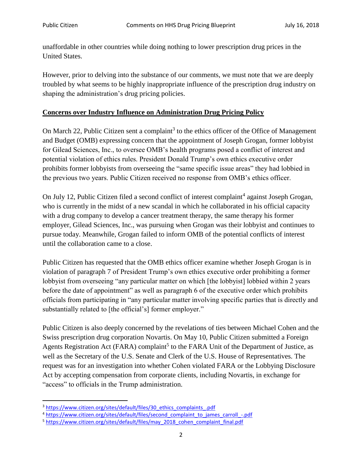unaffordable in other countries while doing nothing to lower prescription drug prices in the United States.

However, prior to delving into the substance of our comments, we must note that we are deeply troubled by what seems to be highly inappropriate influence of the prescription drug industry on shaping the administration's drug pricing policies.

#### **Concerns over Industry Influence on Administration Drug Pricing Policy**

On March 22, Public Citizen sent a complaint<sup>3</sup> to the ethics officer of the Office of Management and Budget (OMB) expressing concern that the appointment of Joseph Grogan, former lobbyist for Gilead Sciences, Inc., to oversee OMB's health programs posed a conflict of interest and potential violation of ethics rules. President Donald Trump's own ethics executive order prohibits former lobbyists from overseeing the "same specific issue areas" they had lobbied in the previous two years. Public Citizen received no response from OMB's ethics officer.

On July 12, Public Citizen filed a second conflict of interest complaint<sup>4</sup> against Joseph Grogan, who is currently in the midst of a new scandal in which he collaborated in his official capacity with a drug company to develop a cancer treatment therapy, the same therapy his former employer, Gilead Sciences, Inc., was pursuing when Grogan was their lobbyist and continues to pursue today. Meanwhile, Grogan failed to inform OMB of the potential conflicts of interest until the collaboration came to a close.

Public Citizen has requested that the OMB ethics officer examine whether Joseph Grogan is in violation of paragraph 7 of President Trump's own ethics executive order prohibiting a former lobbyist from overseeing "any particular matter on which [the lobbyist] lobbied within 2 years before the date of appointment" as well as paragraph 6 of the executive order which prohibits officials from participating in "any particular matter involving specific parties that is directly and substantially related to [the official's] former employer."

Public Citizen is also deeply concerned by the revelations of ties between Michael Cohen and the Swiss prescription drug corporation Novartis. On May 10, Public Citizen submitted a Foreign Agents Registration Act (FARA) complaint<sup>5</sup> to the FARA Unit of the Department of Justice, as well as the Secretary of the U.S. Senate and Clerk of the U.S. House of Representatives. The request was for an investigation into whether Cohen violated FARA or the Lobbying Disclosure Act by accepting compensation from corporate clients, including Novartis, in exchange for "access" to officials in the Trump administration.

<sup>&</sup>lt;sup>3</sup> [https://www.citizen.org/sites/default/files/30\\_ethics\\_complaints\\_.pdf](https://www.citizen.org/sites/default/files/30_ethics_complaints_.pdf)

<sup>&</sup>lt;sup>4</sup> [https://www.citizen.org/sites/default/files/second\\_complaint\\_to\\_james\\_carroll\\_-.pdf](https://www.citizen.org/sites/default/files/second_complaint_to_james_carroll_-.pdf)

<sup>5</sup> [https://www.citizen.org/sites/default/files/may\\_2018\\_cohen\\_complaint\\_final.pdf](https://www.citizen.org/sites/default/files/may_2018_cohen_complaint_final.pdf)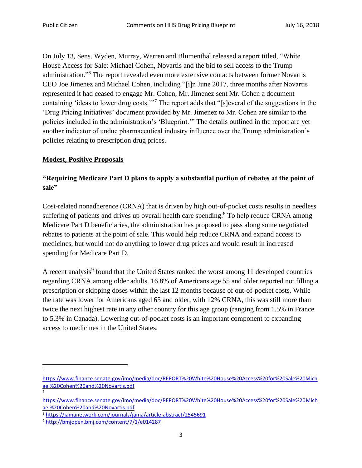On July 13, Sens. Wyden, Murray, Warren and Blumenthal released a report titled, "White House Access for Sale: Michael Cohen, Novartis and the bid to sell access to the Trump administration." <sup>6</sup> The report revealed even more extensive contacts between former Novartis CEO Joe Jimenez and Michael Cohen, including "[i]n June 2017, three months after Novartis represented it had ceased to engage Mr. Cohen, Mr. Jimenez sent Mr. Cohen a document containing 'ideas to lower drug costs.'"<sup>7</sup> The report adds that "[s]everal of the suggestions in the 'Drug Pricing Initiatives' document provided by Mr. Jimenez to Mr. Cohen are similar to the policies included in the administration's 'Blueprint.'" The details outlined in the report are yet another indicator of undue pharmaceutical industry influence over the Trump administration's policies relating to prescription drug prices.

#### **Modest, Positive Proposals**

## **"Requiring Medicare Part D plans to apply a substantial portion of rebates at the point of sale"**

Cost-related nonadherence (CRNA) that is driven by high out-of-pocket costs results in needless suffering of patients and drives up overall health care spending.<sup>8</sup> To help reduce CRNA among Medicare Part D beneficiaries, the administration has proposed to pass along some negotiated rebates to patients at the point of sale. This would help reduce CRNA and expand access to medicines, but would not do anything to lower drug prices and would result in increased spending for Medicare Part D.

A recent analysis<sup>9</sup> found that the United States ranked the worst among 11 developed countries regarding CRNA among older adults. 16.8% of Americans age 55 and older reported not filling a prescription or skipping doses within the last 12 months because of out-of-pocket costs. While the rate was lower for Americans aged 65 and older, with 12% CRNA, this was still more than twice the next highest rate in any other country for this age group (ranging from 1.5% in France to 5.3% in Canada). Lowering out-of-pocket costs is an important component to expanding access to medicines in the United States.

 $\overline{\phantom{a}}$ 6

7

[https://www.finance.senate.gov/imo/media/doc/REPORT%20White%20House%20Access%20for%20Sale%20Mich](https://www.finance.senate.gov/imo/media/doc/REPORT%20White%20House%20Access%20for%20Sale%20Michael%20Cohen%20and%20Novartis.pdf) [ael%20Cohen%20and%20Novartis.pdf](https://www.finance.senate.gov/imo/media/doc/REPORT%20White%20House%20Access%20for%20Sale%20Michael%20Cohen%20and%20Novartis.pdf)

[https://www.finance.senate.gov/imo/media/doc/REPORT%20White%20House%20Access%20for%20Sale%20Mich](https://www.finance.senate.gov/imo/media/doc/REPORT%20White%20House%20Access%20for%20Sale%20Michael%20Cohen%20and%20Novartis.pdf) [ael%20Cohen%20and%20Novartis.pdf](https://www.finance.senate.gov/imo/media/doc/REPORT%20White%20House%20Access%20for%20Sale%20Michael%20Cohen%20and%20Novartis.pdf)

<sup>8</sup> <https://jamanetwork.com/journals/jama/article-abstract/2545691>

<sup>9</sup> <http://bmjopen.bmj.com/content/7/1/e014287>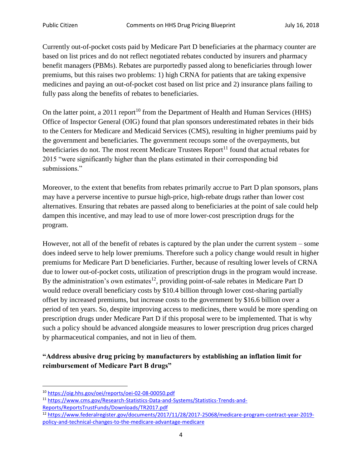Currently out-of-pocket costs paid by Medicare Part D beneficiaries at the pharmacy counter are based on list prices and do not reflect negotiated rebates conducted by insurers and pharmacy benefit managers (PBMs). Rebates are purportedly passed along to beneficiaries through lower premiums, but this raises two problems: 1) high CRNA for patients that are taking expensive medicines and paying an out-of-pocket cost based on list price and 2) insurance plans failing to fully pass along the benefits of rebates to beneficiaries.

On the latter point, a 2011 report<sup>10</sup> from the Department of Health and Human Services (HHS) Office of Inspector General (OIG) found that plan sponsors underestimated rebates in their bids to the Centers for Medicare and Medicaid Services (CMS), resulting in higher premiums paid by the government and beneficiaries. The government recoups some of the overpayments, but beneficiaries do not. The most recent Medicare Trustees  $Report<sup>11</sup>$  found that actual rebates for 2015 "were significantly higher than the plans estimated in their corresponding bid submissions."

Moreover, to the extent that benefits from rebates primarily accrue to Part D plan sponsors, plans may have a perverse incentive to pursue high-price, high-rebate drugs rather than lower cost alternatives. Ensuring that rebates are passed along to beneficiaries at the point of sale could help dampen this incentive, and may lead to use of more lower-cost prescription drugs for the program.

However, not all of the benefit of rebates is captured by the plan under the current system – some does indeed serve to help lower premiums. Therefore such a policy change would result in higher premiums for Medicare Part D beneficiaries. Further, because of resulting lower levels of CRNA due to lower out-of-pocket costs, utilization of prescription drugs in the program would increase. By the administration's own estimates<sup>12</sup>, providing point-of-sale rebates in Medicare Part D would reduce overall beneficiary costs by \$10.4 billion through lower cost-sharing partially offset by increased premiums, but increase costs to the government by \$16.6 billion over a period of ten years. So, despite improving access to medicines, there would be more spending on prescription drugs under Medicare Part D if this proposal were to be implemented. That is why such a policy should be advanced alongside measures to lower prescription drug prices charged by pharmaceutical companies, and not in lieu of them.

# **"Address abusive drug pricing by manufacturers by establishing an inflation limit for reimbursement of Medicare Part B drugs"**

l <sup>10</sup> <https://oig.hhs.gov/oei/reports/oei-02-08-00050.pdf>

<sup>11</sup> [https://www.cms.gov/Research-Statistics-Data-and-Systems/Statistics-Trends-and-](https://www.cms.gov/Research-Statistics-Data-and-Systems/Statistics-Trends-and-Reports/ReportsTrustFunds/Downloads/TR2017.pdf)[Reports/ReportsTrustFunds/Downloads/TR2017.pdf](https://www.cms.gov/Research-Statistics-Data-and-Systems/Statistics-Trends-and-Reports/ReportsTrustFunds/Downloads/TR2017.pdf)

<sup>12</sup> [https://www.federalregister.gov/documents/2017/11/28/2017-25068/medicare-program-contract-year-2019](https://www.federalregister.gov/documents/2017/11/28/2017-25068/medicare-program-contract-year-2019-policy-and-technical-changes-to-the-medicare-advantage-medicare) [policy-and-technical-changes-to-the-medicare-advantage-medicare](https://www.federalregister.gov/documents/2017/11/28/2017-25068/medicare-program-contract-year-2019-policy-and-technical-changes-to-the-medicare-advantage-medicare)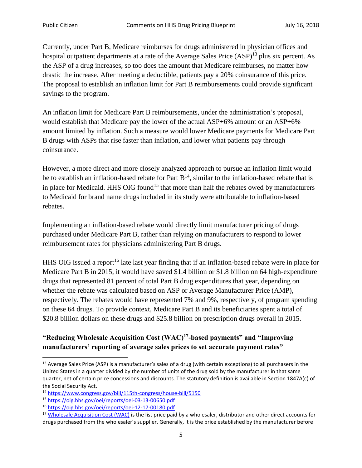Currently, under Part B, Medicare reimburses for drugs administered in physician offices and hospital outpatient departments at a rate of the Average Sales Price  $(ASP)^{13}$  plus six percent. As the ASP of a drug increases, so too does the amount that Medicare reimburses, no matter how drastic the increase. After meeting a deductible, patients pay a 20% coinsurance of this price. The proposal to establish an inflation limit for Part B reimbursements could provide significant savings to the program.

An inflation limit for Medicare Part B reimbursements, under the administration's proposal, would establish that Medicare pay the lower of the actual ASP+6% amount or an ASP+6% amount limited by inflation. Such a measure would lower Medicare payments for Medicare Part B drugs with ASPs that rise faster than inflation, and lower what patients pay through coinsurance.

However, a more direct and more closely analyzed approach to pursue an inflation limit would be to establish an inflation-based rebate for Part  $B<sup>14</sup>$ , similar to the inflation-based rebate that is in place for Medicaid. HHS OIG found<sup>15</sup> that more than half the rebates owed by manufacturers to Medicaid for brand name drugs included in its study were attributable to inflation-based rebates.

Implementing an inflation-based rebate would directly limit manufacturer pricing of drugs purchased under Medicare Part B, rather than relying on manufacturers to respond to lower reimbursement rates for physicians administering Part B drugs.

HHS OIG issued a report<sup>16</sup> late last year finding that if an inflation-based rebate were in place for Medicare Part B in 2015, it would have saved \$1.4 billion or \$1.8 billion on 64 high-expenditure drugs that represented 81 percent of total Part B drug expenditures that year, depending on whether the rebate was calculated based on ASP or Average Manufacturer Price (AMP), respectively. The rebates would have represented 7% and 9%, respectively, of program spending on these 64 drugs. To provide context, Medicare Part B and its beneficiaries spent a total of \$20.8 billion dollars on these drugs and \$25.8 billion on prescription drugs overall in 2015.

## **"Reducing Wholesale Acquisition Cost (WAC)<sup>17</sup> -based payments" and "Improving manufacturers' reporting of average sales prices to set accurate payment rates"**

<sup>&</sup>lt;sup>13</sup> Average Sales Price (ASP) is a manufacturer's sales of a drug (with certain exceptions) to all purchasers in the United States in a quarter divided by the number of units of the drug sold by the manufacturer in that same quarter, net of certain price concessions and discounts. The statutory definition is available in Section 1847A(c) of the Social Security Act.

<sup>14</sup> <https://www.congress.gov/bill/115th-congress/house-bill/5150>

<sup>15</sup> <https://oig.hhs.gov/oei/reports/oei-03-13-00650.pdf>

<sup>16</sup> <https://oig.hhs.gov/oei/reports/oei-12-17-00180.pdf>

<sup>&</sup>lt;sup>17</sup> [Wholesale Acquisition Cost \(WAC\)](https://definitions.uslegal.com/w/wholesale-acquisition-cost-wac/) is the list price paid by a wholesaler, distributor and other direct accounts for drugs purchased from the wholesaler's supplier. Generally, it is the price established by the manufacturer before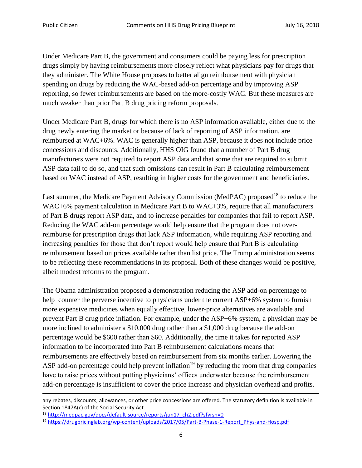$\overline{a}$ 

Under Medicare Part B, the government and consumers could be paying less for prescription drugs simply by having reimbursements more closely reflect what physicians pay for drugs that they administer. The White House proposes to better align reimbursement with physician spending on drugs by reducing the WAC-based add-on percentage and by improving ASP reporting, so fewer reimbursements are based on the more-costly WAC. But these measures are much weaker than prior Part B drug pricing reform proposals.

Under Medicare Part B, drugs for which there is no ASP information available, either due to the drug newly entering the market or because of lack of reporting of ASP information, are reimbursed at WAC+6%. WAC is generally higher than ASP, because it does not include price concessions and discounts. Additionally, HHS OIG found that a number of Part B drug manufacturers were not required to report ASP data and that some that are required to submit ASP data fail to do so, and that such omissions can result in Part B calculating reimbursement based on WAC instead of ASP, resulting in higher costs for the government and beneficiaries.

Last summer, the Medicare Payment Advisory Commission (MedPAC) proposed<sup>18</sup> to reduce the WAC+6% payment calculation in Medicare Part B to WAC+3%, require that all manufacturers of Part B drugs report ASP data, and to increase penalties for companies that fail to report ASP. Reducing the WAC add-on percentage would help ensure that the program does not overreimburse for prescription drugs that lack ASP information, while requiring ASP reporting and increasing penalties for those that don't report would help ensure that Part B is calculating reimbursement based on prices available rather than list price. The Trump administration seems to be reflecting these recommendations in its proposal. Both of these changes would be positive, albeit modest reforms to the program.

The Obama administration proposed a demonstration reducing the ASP add-on percentage to help counter the perverse incentive to physicians under the current ASP+6% system to furnish more expensive medicines when equally effective, lower-price alternatives are available and prevent Part B drug price inflation. For example, under the ASP+6% system, a physician may be more inclined to administer a \$10,000 drug rather than a \$1,000 drug because the add-on percentage would be \$600 rather than \$60. Additionally, the time it takes for reported ASP information to be incorporated into Part B reimbursement calculations means that reimbursements are effectively based on reimbursement from six months earlier. Lowering the ASP add-on percentage could help prevent inflation<sup>19</sup> by reducing the room that drug companies have to raise prices without putting physicians' offices underwater because the reimbursement add-on percentage is insufficient to cover the price increase and physician overhead and profits.

any rebates, discounts, allowances, or other price concessions are offered. The statutory definition is available in Section 1847A(c) of the Social Security Act.

<sup>18</sup> [http://medpac.gov/docs/default-source/reports/jun17\\_ch2.pdf?sfvrsn=0](http://medpac.gov/docs/default-source/reports/jun17_ch2.pdf?sfvrsn=0)

<sup>19</sup> [https://drugpricinglab.org/wp-content/uploads/2017/05/Part-B-Phase-1-Report\\_Phys-and-Hosp.pdf](https://drugpricinglab.org/wp-content/uploads/2017/05/Part-B-Phase-1-Report_Phys-and-Hosp.pdf)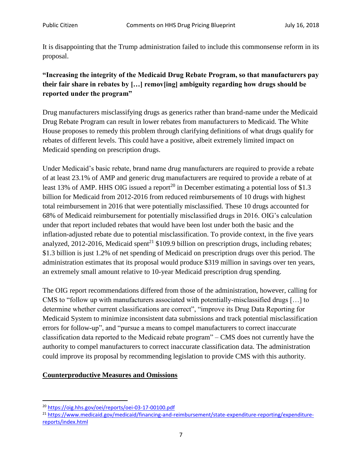It is disappointing that the Trump administration failed to include this commonsense reform in its proposal.

# **"Increasing the integrity of the Medicaid Drug Rebate Program, so that manufacturers pay their fair share in rebates by […] remov[ing] ambiguity regarding how drugs should be reported under the program"**

Drug manufacturers misclassifying drugs as generics rather than brand-name under the Medicaid Drug Rebate Program can result in lower rebates from manufacturers to Medicaid. The White House proposes to remedy this problem through clarifying definitions of what drugs qualify for rebates of different levels. This could have a positive, albeit extremely limited impact on Medicaid spending on prescription drugs.

Under Medicaid's basic rebate, brand name drug manufacturers are required to provide a rebate of at least 23.1% of AMP and generic drug manufacturers are required to provide a rebate of at least 13% of AMP. HHS OIG issued a report<sup>20</sup> in December estimating a potential loss of \$1.3 billion for Medicaid from 2012-2016 from reduced reimbursements of 10 drugs with highest total reimbursement in 2016 that were potentially misclassified. These 10 drugs accounted for 68% of Medicaid reimbursement for potentially misclassified drugs in 2016. OIG's calculation under that report included rebates that would have been lost under both the basic and the inflation-adjusted rebate due to potential misclassification. To provide context, in the five years analyzed, 2012-2016, Medicaid spent<sup>21</sup> \$109.9 billion on prescription drugs, including rebates; \$1.3 billion is just 1.2% of net spending of Medicaid on prescription drugs over this period. The administration estimates that its proposal would produce \$319 million in savings over ten years, an extremely small amount relative to 10-year Medicaid prescription drug spending.

The OIG report recommendations differed from those of the administration, however, calling for CMS to "follow up with manufacturers associated with potentially-misclassified drugs […] to determine whether current classifications are correct", "improve its Drug Data Reporting for Medicaid System to minimize inconsistent data submissions and track potential misclassification errors for follow-up", and "pursue a means to compel manufacturers to correct inaccurate classification data reported to the Medicaid rebate program" – CMS does not currently have the authority to compel manufacturers to correct inaccurate classification data. The administration could improve its proposal by recommending legislation to provide CMS with this authority.

#### **Counterproductive Measures and Omissions**

 $\overline{\phantom{a}}$ <sup>20</sup> <https://oig.hhs.gov/oei/reports/oei-03-17-00100.pdf>

<sup>&</sup>lt;sup>21</sup> [https://www.medicaid.gov/medicaid/financing-and-reimbursement/state-expenditure-reporting/expenditure](https://www.medicaid.gov/medicaid/financing-and-reimbursement/state-expenditure-reporting/expenditure-reports/index.html)[reports/index.html](https://www.medicaid.gov/medicaid/financing-and-reimbursement/state-expenditure-reporting/expenditure-reports/index.html)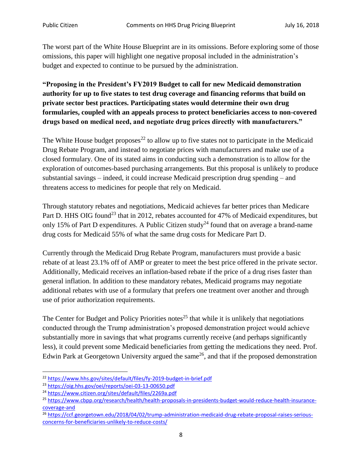The worst part of the White House Blueprint are in its omissions. Before exploring some of those omissions, this paper will highlight one negative proposal included in the administration's budget and expected to continue to be pursued by the administration.

**"Proposing in the President's FY2019 Budget to call for new Medicaid demonstration authority for up to five states to test drug coverage and financing reforms that build on private sector best practices. Participating states would determine their own drug formularies, coupled with an appeals process to protect beneficiaries access to non-covered drugs based on medical need, and negotiate drug prices directly with manufacturers."**

The White House budget proposes<sup>22</sup> to allow up to five states not to participate in the Medicaid Drug Rebate Program, and instead to negotiate prices with manufacturers and make use of a closed formulary. One of its stated aims in conducting such a demonstration is to allow for the exploration of outcomes-based purchasing arrangements. But this proposal is unlikely to produce substantial savings – indeed, it could increase Medicaid prescription drug spending – and threatens access to medicines for people that rely on Medicaid.

Through statutory rebates and negotiations, Medicaid achieves far better prices than Medicare Part D. HHS OIG found<sup>23</sup> that in 2012, rebates accounted for 47% of Medicaid expenditures, but only 15% of Part D expenditures. A Public Citizen study<sup>24</sup> found that on average a brand-name drug costs for Medicaid 55% of what the same drug costs for Medicare Part D.

Currently through the Medicaid Drug Rebate Program, manufacturers must provide a basic rebate of at least 23.1% off of AMP or greater to meet the best price offered in the private sector. Additionally, Medicaid receives an inflation-based rebate if the price of a drug rises faster than general inflation. In addition to these mandatory rebates, Medicaid programs may negotiate additional rebates with use of a formulary that prefers one treatment over another and through use of prior authorization requirements.

The Center for Budget and Policy Priorities notes<sup>25</sup> that while it is unlikely that negotiations conducted through the Trump administration's proposed demonstration project would achieve substantially more in savings that what programs currently receive (and perhaps significantly less), it could prevent some Medicaid beneficiaries from getting the medications they need. Prof. Edwin Park at Georgetown University argued the same<sup>26</sup>, and that if the proposed demonstration

<sup>22</sup> <https://www.hhs.gov/sites/default/files/fy-2019-budget-in-brief.pdf>

<sup>23</sup> <https://oig.hhs.gov/oei/reports/oei-03-13-00650.pdf>

<sup>24</sup> <https://www.citizen.org/sites/default/files/2269a.pdf>

<sup>25</sup> [https://www.cbpp.org/research/health/health-proposals-in-presidents-budget-would-reduce-health-insurance](https://www.cbpp.org/research/health/health-proposals-in-presidents-budget-would-reduce-health-insurance-coverage-and)[coverage-and](https://www.cbpp.org/research/health/health-proposals-in-presidents-budget-would-reduce-health-insurance-coverage-and) 

<sup>&</sup>lt;sup>26</sup> [https://ccf.georgetown.edu/2018/04/02/trump-administration-medicaid-drug-rebate-proposal-raises-serious](https://ccf.georgetown.edu/2018/04/02/trump-administration-medicaid-drug-rebate-proposal-raises-serious-concerns-for-beneficiaries-unlikely-to-reduce-costs/)[concerns-for-beneficiaries-unlikely-to-reduce-costs/](https://ccf.georgetown.edu/2018/04/02/trump-administration-medicaid-drug-rebate-proposal-raises-serious-concerns-for-beneficiaries-unlikely-to-reduce-costs/)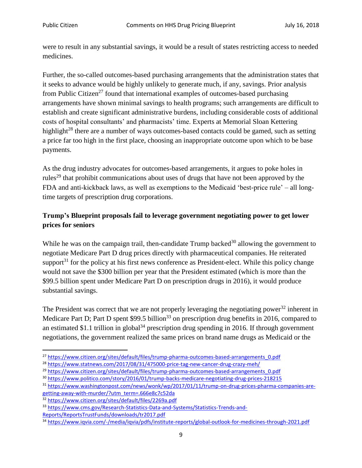were to result in any substantial savings, it would be a result of states restricting access to needed medicines.

Further, the so-called outcomes-based purchasing arrangements that the administration states that it seeks to advance would be highly unlikely to generate much, if any, savings. Prior analysis from Public Citizen<sup>27</sup> found that international examples of outcomes-based purchasing arrangements have shown minimal savings to health programs; such arrangements are difficult to establish and create significant administrative burdens, including considerable costs of additional costs of hospital consultants' and pharmacists' time. Experts at Memorial Sloan Kettering highlight<sup>28</sup> there are a number of ways outcomes-based contacts could be gamed, such as setting a price far too high in the first place, choosing an inappropriate outcome upon which to be base payments.

As the drug industry advocates for outcomes-based arrangements, it argues to poke holes in rules<sup>29</sup> that prohibit communications about uses of drugs that have not been approved by the FDA and anti-kickback laws, as well as exemptions to the Medicaid 'best-price rule' – all longtime targets of prescription drug corporations.

## **Trump's Blueprint proposals fail to leverage government negotiating power to get lower prices for seniors**

While he was on the campaign trail, then-candidate Trump backed<sup>30</sup> allowing the government to negotiate Medicare Part D drug prices directly with pharmaceutical companies. He reiterated support<sup>31</sup> for the policy at his first news conference as President-elect. While this policy change would not save the \$300 billion per year that the President estimated (which is more than the \$99.5 billion spent under Medicare Part D on prescription drugs in 2016), it would produce substantial savings.

The President was correct that we are not properly leveraging the negotiating power<sup>32</sup> inherent in Medicare Part D; Part D spent  $$99.5$  billion<sup>33</sup> on prescription drug benefits in 2016, compared to an estimated \$1.1 trillion in global<sup>34</sup> prescription drug spending in 2016. If through government negotiations, the government realized the same prices on brand name drugs as Medicaid or the

<sup>&</sup>lt;sup>27</sup> [https://www.citizen.org/sites/default/files/trump-pharma-outcomes-based-arrangements\\_0.pdf](https://www.citizen.org/sites/default/files/trump-pharma-outcomes-based-arrangements_0.pdf)

<sup>&</sup>lt;sup>28</sup> <https://www.statnews.com/2017/08/31/475000-price-tag-new-cancer-drug-crazy-meh/>

<sup>&</sup>lt;sup>29</sup> [https://www.citizen.org/sites/default/files/trump-pharma-outcomes-based-arrangements\\_0.pdf](https://www.citizen.org/sites/default/files/trump-pharma-outcomes-based-arrangements_0.pdf)

<sup>30</sup> <https://www.politico.com/story/2016/01/trump-backs-medicare-negotiating-drug-prices-218215>

<sup>31</sup> [https://www.washingtonpost.com/news/wonk/wp/2017/01/11/trump-on-drug-prices-pharma-companies-are](https://www.washingtonpost.com/news/wonk/wp/2017/01/11/trump-on-drug-prices-pharma-companies-are-getting-away-with-murder/?utm_term=.666e8c7c52da)[getting-away-with-murder/?utm\\_term=.666e8c7c52da](https://www.washingtonpost.com/news/wonk/wp/2017/01/11/trump-on-drug-prices-pharma-companies-are-getting-away-with-murder/?utm_term=.666e8c7c52da)

<sup>32</sup> <https://www.citizen.org/sites/default/files/2269a.pdf>

<sup>33</sup> [https://www.cms.gov/Research-Statistics-Data-and-Systems/Statistics-Trends-and-](https://www.cms.gov/Research-Statistics-Data-and-Systems/Statistics-Trends-and-Reports/ReportsTrustFunds/downloads/tr2017.pdf)[Reports/ReportsTrustFunds/downloads/tr2017.pdf](https://www.cms.gov/Research-Statistics-Data-and-Systems/Statistics-Trends-and-Reports/ReportsTrustFunds/downloads/tr2017.pdf)

<sup>34</sup> <https://www.iqvia.com/-/media/iqvia/pdfs/institute-reports/global-outlook-for-medicines-through-2021.pdf>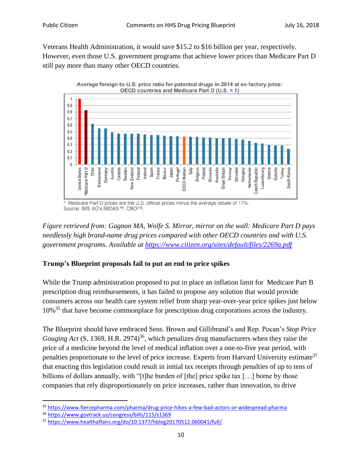$\blacktriangleleft$ 

Veterans Health Administration, it would save \$15.2 to \$16 billion per year, respectively. However, even those U.S. government programs that achieve lower prices than Medicare Part D still pay more than many other OECD countries.





Medicare Part D prices are the U.S. official prices minus the average rebate of 17%. Source: IMS AG's MIDAS™; CBO<sup>[10]</sup>.

*Figure retrieved from: Gagnon MA, Wolfe S. Mirror, mirror on the wall: Medicare Part D pays needlessly high brand-name drug prices compared with other OECD countries and with U.S. government programs. Available at<https://www.citizen.org/sites/default/files/2269a.pdf>*

## **Trump's Blueprint proposals fail to put an end to price spikes**

While the Trump administration proposed to put in place an inflation limit for Medicare Part B prescription drug reimbursements, it has failed to propose any solution that would provide consumers across our health care system relief from sharp year-over-year price spikes just below 10%<sup>35</sup> that have become commonplace for prescription drug corporations across the industry.

The Blueprint should have embraced Sens. Brown and Gillibrand's and Rep. Pocan's *Stop Price Gouging Act* (S. 1369, H.R. 2974)<sup>36</sup>, which penalizes drug manufacturers when they raise the price of a medicine beyond the level of medical inflation over a one-to-five year period, with penalties proportionate to the level of price increase. Experts from Harvard University estimate<sup>37</sup> that enacting this legislation could result in initial tax receipts through penalties of up to tens of billions of dollars annually, with "[t]he burden of [the] price spike tax [...] borne by those companies that rely disproportionately on price increases, rather than innovation, to drive

<sup>35</sup> <https://www.fiercepharma.com/pharma/drug-price-hikes-a-few-bad-actors-or-widespread-pharma>

<sup>36</sup> <https://www.govtrack.us/congress/bills/115/s1369>

<sup>37</sup> <https://www.healthaffairs.org/do/10.1377/hblog20170512.060041/full/>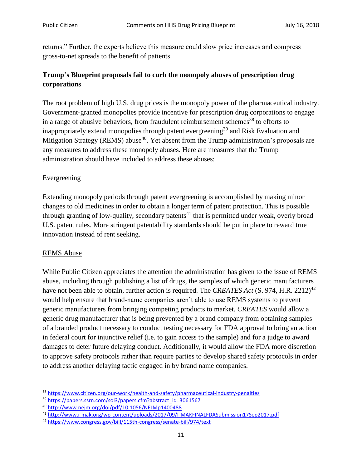returns." Further, the experts believe this measure could slow price increases and compress gross-to-net spreads to the benefit of patients.

# **Trump's Blueprint proposals fail to curb the monopoly abuses of prescription drug corporations**

The root problem of high U.S. drug prices is the monopoly power of the pharmaceutical industry. Government-granted monopolies provide incentive for prescription drug corporations to engage in a range of abusive behaviors, from fraudulent reimbursement schemes<sup>38</sup> to efforts to inappropriately extend monopolies through patent evergreening<sup>39</sup> and Risk Evaluation and Mitigation Strategy (REMS) abuse<sup>40</sup>. Yet absent from the Trump administration's proposals are any measures to address these monopoly abuses. Here are measures that the Trump administration should have included to address these abuses:

#### **Evergreening**

Extending monopoly periods through patent evergreening is accomplished by making minor changes to old medicines in order to obtain a longer term of patent protection. This is possible through granting of low-quality, secondary patents<sup>41</sup> that is permitted under weak, overly broad U.S. patent rules. More stringent patentability standards should be put in place to reward true innovation instead of rent seeking.

#### REMS Abuse

l

While Public Citizen appreciates the attention the administration has given to the issue of REMS abuse, including through publishing a list of drugs, the samples of which generic manufacturers have not been able to obtain, further action is required. The *CREATES Act* (S. 974, H.R. 2212)<sup>42</sup> would help ensure that brand-name companies aren't able to use REMS systems to prevent generic manufacturers from bringing competing products to market. *CREATES* would allow a generic drug manufacturer that is being prevented by a brand company from obtaining samples of a branded product necessary to conduct testing necessary for FDA approval to bring an action in federal court for injunctive relief (i.e. to gain access to the sample) and for a judge to award damages to deter future delaying conduct. Additionally, it would allow the FDA more discretion to approve safety protocols rather than require parties to develop shared safety protocols in order to address another delaying tactic engaged in by brand name companies.

<sup>38</sup> <https://www.citizen.org/our-work/health-and-safety/pharmaceutical-industry-penalties>

<sup>39</sup> [https://papers.ssrn.com/sol3/papers.cfm?abstract\\_id=3061567](https://papers.ssrn.com/sol3/papers.cfm?abstract_id=3061567)

<sup>40</sup> <http://www.nejm.org/doi/pdf/10.1056/NEJMp1400488>

<sup>41</sup> <http://www.i-mak.org/wp-content/uploads/2017/09/I-MAKFINALFDASubmission17Sep2017.pdf>

<sup>42</sup> <https://www.congress.gov/bill/115th-congress/senate-bill/974/text>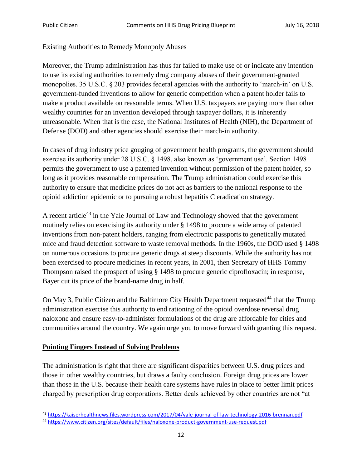#### Existing Authorities to Remedy Monopoly Abuses

Moreover, the Trump administration has thus far failed to make use of or indicate any intention to use its existing authorities to remedy drug company abuses of their government-granted monopolies. 35 U.S.C. § 203 provides federal agencies with the authority to 'march-in' on U.S. government-funded inventions to allow for generic competition when a patent holder fails to make a product available on reasonable terms. When U.S. taxpayers are paying more than other wealthy countries for an invention developed through taxpayer dollars, it is inherently unreasonable. When that is the case, the National Institutes of Health (NIH), the Department of Defense (DOD) and other agencies should exercise their march-in authority.

In cases of drug industry price gouging of government health programs, the government should exercise its authority under 28 U.S.C. § 1498, also known as 'government use'. Section 1498 permits the government to use a patented invention without permission of the patent holder, so long as it provides reasonable compensation. The Trump administration could exercise this authority to ensure that medicine prices do not act as barriers to the national response to the opioid addiction epidemic or to pursuing a robust hepatitis C eradication strategy.

A recent article<sup>43</sup> in the Yale Journal of Law and Technology showed that the government routinely relies on exercising its authority under § 1498 to procure a wide array of patented inventions from non-patent holders, ranging from electronic passports to genetically mutated mice and fraud detection software to waste removal methods. In the 1960s, the DOD used § 1498 on numerous occasions to procure generic drugs at steep discounts. While the authority has not been exercised to procure medicines in recent years, in 2001, then Secretary of HHS Tommy Thompson raised the prospect of using § 1498 to procure generic ciprofloxacin; in response, Bayer cut its price of the brand-name drug in half.

On May 3, Public Citizen and the Baltimore City Health Department requested<sup>44</sup> that the Trump administration exercise this authority to end rationing of the opioid overdose reversal drug naloxone and ensure easy-to-administer formulations of the drug are affordable for cities and communities around the country. We again urge you to move forward with granting this request.

#### **Pointing Fingers Instead of Solving Problems**

The administration is right that there are significant disparities between U.S. drug prices and those in other wealthy countries, but draws a faulty conclusion. Foreign drug prices are lower than those in the U.S. because their health care systems have rules in place to better limit prices charged by prescription drug corporations. Better deals achieved by other countries are not "at

l <sup>43</sup> <https://kaiserhealthnews.files.wordpress.com/2017/04/yale-journal-of-law-technology-2016-brennan.pdf>

<sup>44</sup> <https://www.citizen.org/sites/default/files/naloxone-product-government-use-request.pdf>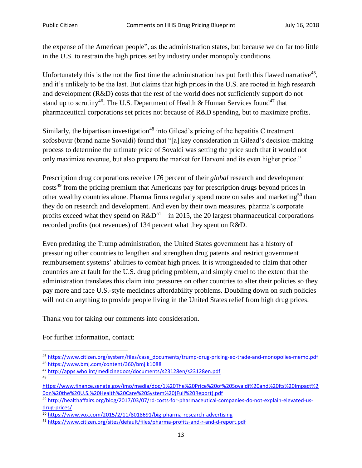the expense of the American people", as the administration states, but because we do far too little in the U.S. to restrain the high prices set by industry under monopoly conditions.

Unfortunately this is the not the first time the administration has put forth this flawed narrative<sup>45</sup>, and it's unlikely to be the last. But claims that high prices in the U.S. are rooted in high research and development (R&D) costs that the rest of the world does not sufficiently support do not stand up to scrutiny<sup>46</sup>. The U.S. Department of Health & Human Services found<sup>47</sup> that pharmaceutical corporations set prices not because of R&D spending, but to maximize profits.

Similarly, the bipartisan investigation<sup>48</sup> into Gilead's pricing of the hepatitis C treatment sofosbuvir (brand name Sovaldi) found that "[a] key consideration in Gilead's decision-making process to determine the ultimate price of Sovaldi was setting the price such that it would not only maximize revenue, but also prepare the market for Harvoni and its even higher price."

Prescription drug corporations receive 176 percent of their *global* research and development costs<sup>49</sup> from the pricing premium that Americans pay for prescription drugs beyond prices in other wealthy countries alone. Pharma firms regularly spend more on sales and marketing<sup>50</sup> than they do on research and development. And even by their own measures, pharma's corporate profits exceed what they spend on  $R&D^{51}$  – in 2015, the 20 largest pharmaceutical corporations recorded profits (not revenues) of 134 percent what they spent on R&D.

Even predating the Trump administration, the United States government has a history of pressuring other countries to lengthen and strengthen drug patents and restrict government reimbursement systems' abilities to combat high prices. It is wrongheaded to claim that other countries are at fault for the U.S. drug pricing problem, and simply cruel to the extent that the administration translates this claim into pressures on other countries to alter their policies so they pay more and face U.S.-style medicines affordability problems. Doubling down on such policies will not do anything to provide people living in the United States relief from high drug prices.

Thank you for taking our comments into consideration.

For further information, contact:

<sup>45</sup> [https://www.citizen.org/system/files/case\\_documents/trump-drug-pricing-eo-trade-and-monopolies-memo.pdf](https://www.citizen.org/system/files/case_documents/trump-drug-pricing-eo-trade-and-monopolies-memo.pdf) <sup>46</sup> <https://www.bmj.com/content/360/bmj.k1088>

<sup>47</sup> <http://apps.who.int/medicinedocs/documents/s23128en/s23128en.pdf> 48

[https://www.finance.senate.gov/imo/media/doc/1%20The%20Price%20of%20Sovaldi%20and%20Its%20Impact%2](https://www.finance.senate.gov/imo/media/doc/1%20The%20Price%20of%20Sovaldi%20and%20Its%20Impact%20on%20the%20U.S.%20Health%20Care%20System%20(Full%20Report).pdf) [0on%20the%20U.S.%20Health%20Care%20System%20\(Full%20Report\).pdf](https://www.finance.senate.gov/imo/media/doc/1%20The%20Price%20of%20Sovaldi%20and%20Its%20Impact%20on%20the%20U.S.%20Health%20Care%20System%20(Full%20Report).pdf)

<sup>49</sup> [http://healthaffairs.org/blog/2017/03/07/rd-costs-for-pharmaceutical-companies-do-not-explain-elevated-us](http://healthaffairs.org/blog/2017/03/07/rd-costs-for-pharmaceutical-companies-do-not-explain-elevated-us-drug-prices/)[drug-prices/](http://healthaffairs.org/blog/2017/03/07/rd-costs-for-pharmaceutical-companies-do-not-explain-elevated-us-drug-prices/)

<sup>50</sup> <https://www.vox.com/2015/2/11/8018691/big-pharma-research-advertising>

<sup>51</sup> <https://www.citizen.org/sites/default/files/pharma-profits-and-r-and-d-report.pdf>